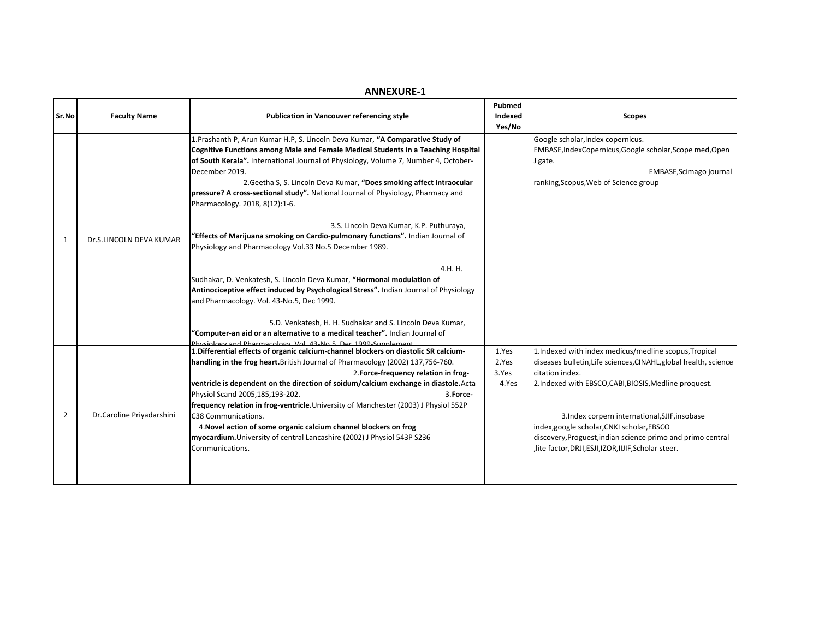| Sr.No          | <b>Faculty Name</b>       | <b>Publication in Vancouver referencing style</b>                                                                                                                                                                                                                                                                                                                                                                                                                                                                                                                                                                                                                                                                                                                                                                                                                                                                                                           | Pubmed<br>Indexed<br>Yes/No      | <b>Scopes</b>                                                                                                                                                                                                                                                                                                                                                                                                                  |
|----------------|---------------------------|-------------------------------------------------------------------------------------------------------------------------------------------------------------------------------------------------------------------------------------------------------------------------------------------------------------------------------------------------------------------------------------------------------------------------------------------------------------------------------------------------------------------------------------------------------------------------------------------------------------------------------------------------------------------------------------------------------------------------------------------------------------------------------------------------------------------------------------------------------------------------------------------------------------------------------------------------------------|----------------------------------|--------------------------------------------------------------------------------------------------------------------------------------------------------------------------------------------------------------------------------------------------------------------------------------------------------------------------------------------------------------------------------------------------------------------------------|
| 1              | Dr.S.LINCOLN DEVA KUMAR   | 1. Prashanth P, Arun Kumar H.P, S. Lincoln Deva Kumar, "A Comparative Study of<br>Cognitive Functions among Male and Female Medical Students in a Teaching Hospital<br>of South Kerala". International Journal of Physiology, Volume 7, Number 4, October-<br>December 2019.<br>2. Geetha S, S. Lincoln Deva Kumar, "Does smoking affect intraocular<br>pressure? A cross-sectional study". National Journal of Physiology, Pharmacy and<br>Pharmacology. 2018, 8(12):1-6.<br>3.S. Lincoln Deva Kumar, K.P. Puthuraya,<br>"Effects of Marijuana smoking on Cardio-pulmonary functions". Indian Journal of<br>Physiology and Pharmacology Vol.33 No.5 December 1989.<br>4.H. H.<br>Sudhakar, D. Venkatesh, S. Lincoln Deva Kumar, "Hormonal modulation of<br>Antinociceptive effect induced by Psychological Stress". Indian Journal of Physiology<br>and Pharmacology. Vol. 43-No.5, Dec 1999.<br>5.D. Venkatesh, H. H. Sudhakar and S. Lincoln Deva Kumar, |                                  | Google scholar, Index copernicus.<br>EMBASE, IndexCopernicus, Google scholar, Scope med, Open<br>J gate.<br>EMBASE, Scimago journal<br>ranking, Scopus, Web of Science group                                                                                                                                                                                                                                                   |
|                |                           | "Computer-an aid or an alternative to a medical teacher". Indian Journal of<br>Physiology and Pharmacology Vol. 43-No 5, Dec 1999-Sunnlement                                                                                                                                                                                                                                                                                                                                                                                                                                                                                                                                                                                                                                                                                                                                                                                                                |                                  |                                                                                                                                                                                                                                                                                                                                                                                                                                |
| $\overline{2}$ | Dr.Caroline Priyadarshini | 1. Differential effects of organic calcium-channel blockers on diastolic SR calcium-<br>handling in the frog heart. British Journal of Pharmacology (2002) 137,756-760.<br>2. Force-frequency relation in frog-<br>ventricle is dependent on the direction of soidum/calcium exchange in diastole. Acta<br>Physiol Scand 2005,185,193-202.<br>3. Force-<br>frequency relation in frog-ventricle. University of Manchester (2003) J Physiol 552P<br>C38 Communications.<br>4. Novel action of some organic calcium channel blockers on frog<br>myocardium. University of central Lancashire (2002) J Physiol 543P S236<br>Communications.                                                                                                                                                                                                                                                                                                                    | 1.Yes<br>2.Yes<br>3.Yes<br>4.Yes | 1. Indexed with index medicus/medline scopus, Tropical<br>diseases bulletin, Life sciences, CINAHL, global health, science<br>citation index.<br>2.Indexed with EBSCO, CABI, BIOSIS, Medline proquest.<br>3.Index corpern international, SJIF, insobase<br>index, google scholar, CNKI scholar, EBSCO<br>discovery, Proguest, indian science primo and primo central<br>, lite factor, DRJI, ESJI, IZOR, IIJIF, Scholar steer. |

## **ANNEXURE-1**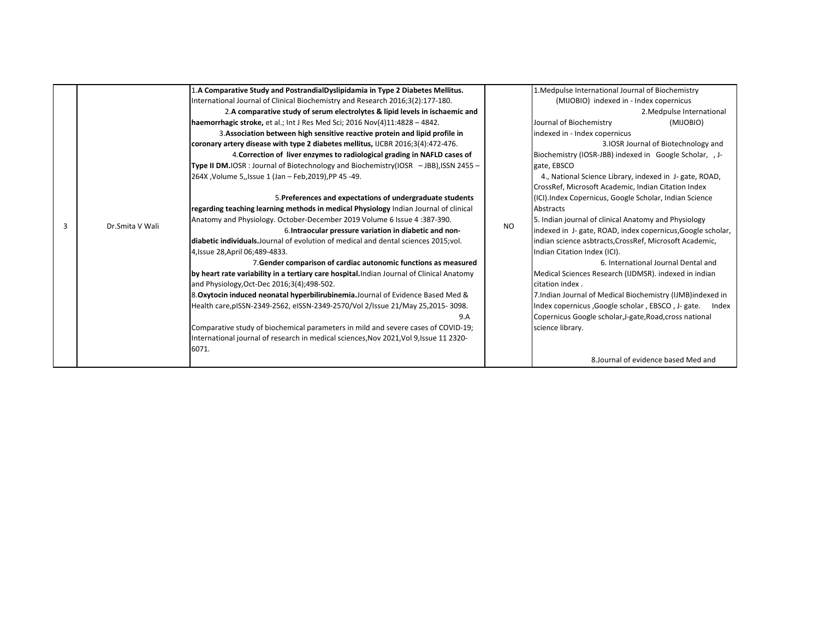|   |                 | 1.A Comparative Study and PostrandialDyslipidamia in Type 2 Diabetes Mellitus.            |                                                                        | 1. Medpulse International Journal of Biochemistry                                                                              |                                                             |  |
|---|-----------------|-------------------------------------------------------------------------------------------|------------------------------------------------------------------------|--------------------------------------------------------------------------------------------------------------------------------|-------------------------------------------------------------|--|
|   | Dr.Smita V Wali | International Journal of Clinical Biochemistry and Research 2016;3(2):177-180.            |                                                                        | (MIJOBIO) indexed in - Index copernicus                                                                                        |                                                             |  |
|   |                 | 2.A comparative study of serum electrolytes & lipid levels in ischaemic and               |                                                                        |                                                                                                                                | 2. Medpulse International                                   |  |
|   |                 | haemorrhagic stroke, et al.; Int J Res Med Sci; 2016 Nov(4)11:4828 - 4842.                |                                                                        | Journal of Biochemistry                                                                                                        | (MIJOBIO)                                                   |  |
|   |                 | 3. Association between high sensitive reactive protein and lipid profile in               |                                                                        | indexed in - Index copernicus<br>3. IOSR Journal of Biotechnology and<br>Biochemistry (IOSR-JBB) indexed in Google Scholar, J- |                                                             |  |
|   |                 | coronary artery disease with type 2 diabetes mellitus, IJCBR 2016;3(4):472-476.           |                                                                        |                                                                                                                                |                                                             |  |
|   |                 | 4. Correction of liver enzymes to radiological grading in NAFLD cases of                  |                                                                        |                                                                                                                                |                                                             |  |
|   |                 | Type II DM.IOSR: Journal of Biotechnology and Biochemistry(IOSR - JBB), ISSN 2455 -       | gate, EBSCO<br>4., National Science Library, indexed in J- gate, ROAD, |                                                                                                                                |                                                             |  |
|   |                 | 264X , Volume 5, Issue 1 (Jan - Feb, 2019), PP 45 -49.                                    |                                                                        |                                                                                                                                |                                                             |  |
|   |                 |                                                                                           |                                                                        | CrossRef, Microsoft Academic, Indian Citation Index                                                                            |                                                             |  |
|   |                 | 5. Preferences and expectations of undergraduate students                                 |                                                                        | (ICI). Index Copernicus, Google Scholar, Indian Science                                                                        |                                                             |  |
|   |                 | regarding teaching learning methods in medical Physiology Indian Journal of clinical      |                                                                        |                                                                                                                                |                                                             |  |
|   |                 | Anatomy and Physiology. October-December 2019 Volume 6 Issue 4:387-390.                   |                                                                        | 5. Indian journal of clinical Anatomy and Physiology                                                                           |                                                             |  |
| 3 |                 | 6. Intraocular pressure variation in diabetic and non-                                    | <b>NO</b>                                                              |                                                                                                                                | indexed in J- gate, ROAD, index copernicus, Google scholar, |  |
|   |                 | diabetic individuals. Journal of evolution of medical and dental sciences 2015; vol.      |                                                                        | indian science asbtracts, CrossRef, Microsoft Academic,                                                                        |                                                             |  |
|   |                 | 4, Issue 28, April 06; 489-4833.                                                          |                                                                        | Indian Citation Index (ICI).                                                                                                   |                                                             |  |
|   |                 | 7. Gender comparison of cardiac autonomic functions as measured                           |                                                                        |                                                                                                                                | 6. International Journal Dental and                         |  |
|   |                 | by heart rate variability in a tertiary care hospital. Indian Journal of Clinical Anatomy |                                                                        | Medical Sciences Research (IJDMSR). indexed in indian                                                                          |                                                             |  |
|   |                 | and Physiology, Oct-Dec 2016; 3(4); 498-502.                                              |                                                                        | citation index.                                                                                                                |                                                             |  |
|   |                 | 8. Oxytocin induced neonatal hyperbilirubinemia. Journal of Evidence Based Med &          |                                                                        | 7.Indian Journal of Medical Biochemistry (IJMB)indexed in                                                                      |                                                             |  |
|   |                 | Health care, pISSN-2349-2562, eISSN-2349-2570/Vol 2/Issue 21/May 25, 2015-3098.           |                                                                        | Index copernicus, Google scholar, EBSCO, J- gate. Index                                                                        |                                                             |  |
|   |                 | 9.A                                                                                       |                                                                        | Copernicus Google scholar, J-gate, Road, cross national                                                                        |                                                             |  |
|   |                 | Comparative study of biochemical parameters in mild and severe cases of COVID-19;         |                                                                        | science library.                                                                                                               |                                                             |  |
|   |                 | International journal of research in medical sciences, Nov 2021, Vol 9, Issue 11 2320-    |                                                                        |                                                                                                                                |                                                             |  |
|   |                 | 6071.                                                                                     |                                                                        |                                                                                                                                |                                                             |  |
|   |                 |                                                                                           |                                                                        |                                                                                                                                | 8. Journal of evidence based Med and                        |  |
|   |                 |                                                                                           |                                                                        |                                                                                                                                |                                                             |  |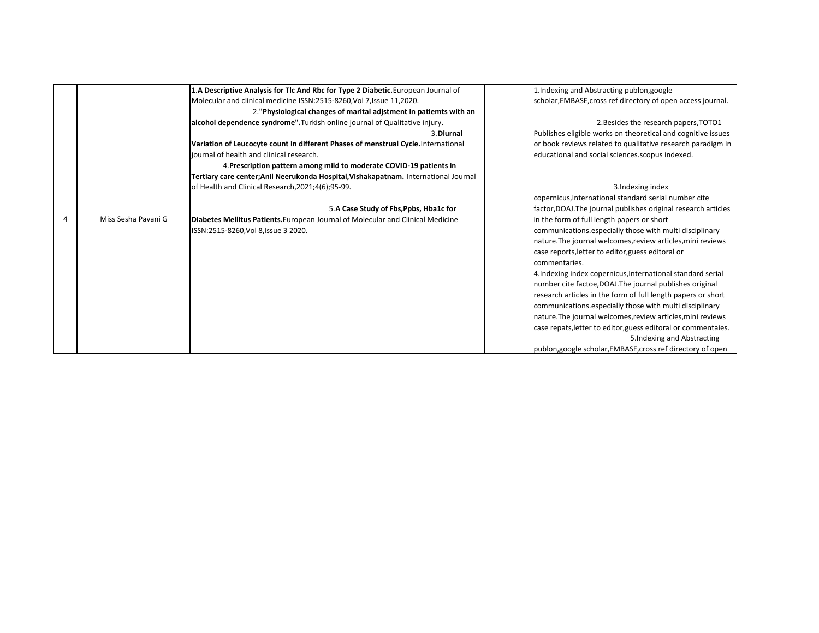|   |                     | 1.A Descriptive Analysis for Tlc And Rbc for Type 2 Diabetic.European Journal of    | 1. Indexing and Abstracting publon, google                     |
|---|---------------------|-------------------------------------------------------------------------------------|----------------------------------------------------------------|
|   |                     | Molecular and clinical medicine ISSN:2515-8260, Vol 7, Issue 11, 2020.              | scholar, EMBASE, cross ref directory of open access journal.   |
|   |                     | 2. "Physiological changes of marital adjstment in patiemts with an                  |                                                                |
|   |                     | alcohol dependence syndrome". Turkish online journal of Qualitative injury.         | 2. Besides the research papers, TOTO1                          |
|   |                     | 3. Diurnal                                                                          | Publishes eligible works on theoretical and cognitive issues   |
|   |                     | Variation of Leucocyte count in different Phases of menstrual Cycle. International  | or book reviews related to qualitative research paradigm in    |
|   |                     | iournal of health and clinical research.                                            | educational and social sciences.scopus indexed.                |
|   |                     | 4. Prescription pattern among mild to moderate COVID-19 patients in                 |                                                                |
|   |                     | Tertiary care center;Anil Neerukonda Hospital, Vishakapatnam. International Journal |                                                                |
|   |                     | of Health and Clinical Research, 2021; 4(6); 95-99.                                 | 3. Indexing index                                              |
|   |                     |                                                                                     | copernicus, International standard serial number cite          |
|   |                     | 5.A Case Study of Fbs, Ppbs, Hba1c for                                              | factor, DOAJ. The journal publishes original research articles |
| 4 | Miss Sesha Pavani G | Diabetes Mellitus Patients. European Journal of Molecular and Clinical Medicine     | in the form of full length papers or short                     |
|   |                     | ISSN:2515-8260, Vol 8, Issue 3 2020.                                                | communications.especially those with multi disciplinary        |
|   |                     |                                                                                     | nature. The journal welcomes, review articles, mini reviews    |
|   |                     |                                                                                     | case reports, letter to editor, guess editoral or              |
|   |                     |                                                                                     | commentaries.                                                  |
|   |                     |                                                                                     | 4. Indexing index copernicus, International standard serial    |
|   |                     |                                                                                     | number cite factoe, DOAJ. The journal publishes original       |
|   |                     |                                                                                     | research articles in the form of full length papers or short   |
|   |                     |                                                                                     | communications.especially those with multi disciplinary        |
|   |                     |                                                                                     | nature. The journal welcomes, review articles, mini reviews    |
|   |                     |                                                                                     | case repats, letter to editor, guess editoral or commentaies.  |
|   |                     |                                                                                     | 5. Indexing and Abstracting                                    |
|   |                     |                                                                                     | publon, google scholar, EMBASE, cross ref directory of open    |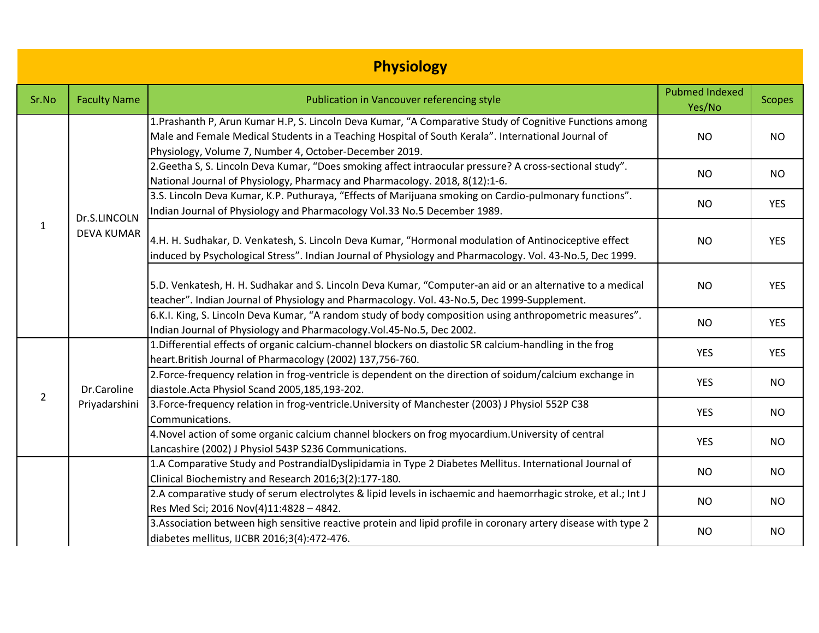| <b>Physiology</b> |                                   |                                                                                                                                                                                                                                                                          |                                 |               |  |
|-------------------|-----------------------------------|--------------------------------------------------------------------------------------------------------------------------------------------------------------------------------------------------------------------------------------------------------------------------|---------------------------------|---------------|--|
| Sr.No             | <b>Faculty Name</b>               | Publication in Vancouver referencing style                                                                                                                                                                                                                               | <b>Pubmed Indexed</b><br>Yes/No | <b>Scopes</b> |  |
|                   | Dr.S.LINCOLN<br><b>DEVA KUMAR</b> | 1. Prashanth P, Arun Kumar H.P, S. Lincoln Deva Kumar, "A Comparative Study of Cognitive Functions among<br>Male and Female Medical Students in a Teaching Hospital of South Kerala". International Journal of<br>Physiology, Volume 7, Number 4, October-December 2019. | <b>NO</b>                       | <b>NO</b>     |  |
|                   |                                   | 2. Geetha S, S. Lincoln Deva Kumar, "Does smoking affect intraocular pressure? A cross-sectional study".<br>National Journal of Physiology, Pharmacy and Pharmacology. 2018, 8(12):1-6.                                                                                  | <b>NO</b>                       | <b>NO</b>     |  |
|                   |                                   | 3.S. Lincoln Deva Kumar, K.P. Puthuraya, "Effects of Marijuana smoking on Cardio-pulmonary functions".<br>Indian Journal of Physiology and Pharmacology Vol.33 No.5 December 1989.                                                                                       | <b>NO</b>                       | <b>YES</b>    |  |
| $\mathbf{1}$      |                                   | 4.H. H. Sudhakar, D. Venkatesh, S. Lincoln Deva Kumar, "Hormonal modulation of Antinociceptive effect<br>induced by Psychological Stress". Indian Journal of Physiology and Pharmacology. Vol. 43-No.5, Dec 1999.                                                        | <b>NO</b>                       | <b>YES</b>    |  |
|                   |                                   | 5.D. Venkatesh, H. H. Sudhakar and S. Lincoln Deva Kumar, "Computer-an aid or an alternative to a medical<br>teacher". Indian Journal of Physiology and Pharmacology. Vol. 43-No.5, Dec 1999-Supplement.                                                                 | <b>NO</b>                       | <b>YES</b>    |  |
|                   |                                   | 6.K.I. King, S. Lincoln Deva Kumar, "A random study of body composition using anthropometric measures".<br>Indian Journal of Physiology and Pharmacology. Vol. 45-No. 5, Dec 2002.                                                                                       | <b>NO</b>                       | <b>YES</b>    |  |
|                   | Dr.Caroline<br>Priyadarshini      | 1. Differential effects of organic calcium-channel blockers on diastolic SR calcium-handling in the frog<br>heart.British Journal of Pharmacology (2002) 137,756-760.                                                                                                    | <b>YES</b>                      | <b>YES</b>    |  |
| $\overline{2}$    |                                   | 2. Force-frequency relation in frog-ventricle is dependent on the direction of soidum/calcium exchange in<br>diastole. Acta Physiol Scand 2005, 185, 193-202.                                                                                                            | <b>YES</b>                      | <b>NO</b>     |  |
|                   |                                   | 3. Force-frequency relation in frog-ventricle. University of Manchester (2003) J Physiol 552P C38<br>Communications.                                                                                                                                                     | <b>YES</b>                      | <b>NO</b>     |  |
|                   |                                   | 4. Novel action of some organic calcium channel blockers on frog myocardium. University of central<br>Lancashire (2002) J Physiol 543P S236 Communications.                                                                                                              | <b>YES</b>                      | <b>NO</b>     |  |
|                   |                                   | 1.A Comparative Study and PostrandialDyslipidamia in Type 2 Diabetes Mellitus. International Journal of<br>Clinical Biochemistry and Research 2016;3(2):177-180.                                                                                                         | <b>NO</b>                       | <b>NO</b>     |  |
|                   |                                   | 2.A comparative study of serum electrolytes & lipid levels in ischaemic and haemorrhagic stroke, et al.; Int J<br>Res Med Sci; 2016 Nov(4)11:4828 - 4842.                                                                                                                | <b>NO</b>                       | <b>NO</b>     |  |
|                   |                                   | 3. Association between high sensitive reactive protein and lipid profile in coronary artery disease with type 2<br>diabetes mellitus, IJCBR 2016;3(4):472-476.                                                                                                           | <b>NO</b>                       | <b>NO</b>     |  |